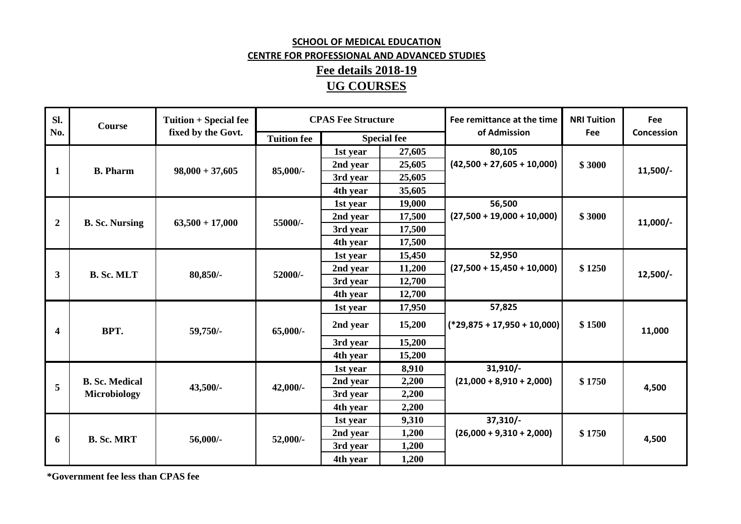## **SCHOOL OF MEDICAL EDUCATION**  CENTRE FOR PROFESSIONAL AND ADVANCED STUDIES**Fee details 2018-19UG COURSES**

| Sl.                     | <b>Course</b>                         | Tuition + Special fee | <b>CPAS Fee Structure</b> |                    |        | Fee remittance at the time               | <b>NRI Tuition</b> | Fee        |
|-------------------------|---------------------------------------|-----------------------|---------------------------|--------------------|--------|------------------------------------------|--------------------|------------|
| No.                     |                                       | fixed by the Govt.    | <b>Tuition fee</b>        | <b>Special fee</b> |        | of Admission                             | Fee                | Concession |
| 1                       | <b>B.</b> Pharm                       | $98,000 + 37,605$     | 85,000/-                  | 1st year           | 27,605 | 80,105<br>$(42,500 + 27,605 + 10,000)$   | \$3000             | $11,500/-$ |
|                         |                                       |                       |                           | 2nd year           | 25,605 |                                          |                    |            |
|                         |                                       |                       |                           | 3rd year           | 25,605 |                                          |                    |            |
|                         |                                       |                       |                           | 4th year           | 35,605 |                                          |                    |            |
| $\boldsymbol{2}$        | <b>B. Sc. Nursing</b>                 | $63,500 + 17,000$     | 55000/-                   | 1st year           | 19,000 | 56,500<br>$(27,500 + 19,000 + 10,000)$   | \$3000             | $11,000/-$ |
|                         |                                       |                       |                           | 2nd year           | 17,500 |                                          |                    |            |
|                         |                                       |                       |                           | 3rd year           | 17,500 |                                          |                    |            |
|                         |                                       |                       |                           | 4th year           | 17,500 |                                          |                    |            |
|                         | <b>B. Sc. MLT</b>                     | 80,850/-              | 52000/-                   | 1st year           | 15,450 | 52,950<br>$(27,500 + 15,450 + 10,000)$   | \$1250             | $12,500/-$ |
| 3                       |                                       |                       |                           | 2nd year           | 11,200 |                                          |                    |            |
|                         |                                       |                       |                           | 3rd year           | 12,700 |                                          |                    |            |
|                         |                                       |                       |                           | 4th year           | 12,700 |                                          |                    |            |
| $\overline{\mathbf{4}}$ | BPT.                                  | 59,750/-              | $65,000/$ -               | 1st year           | 17,950 | 57,825<br>$(*29,875 + 17,950 + 10,000)$  | \$1500             | 11,000     |
|                         |                                       |                       |                           | 2nd year           | 15,200 |                                          |                    |            |
|                         |                                       |                       |                           | 3rd year           | 15,200 |                                          |                    |            |
|                         |                                       |                       |                           | 4th year           | 15,200 |                                          |                    |            |
|                         | <b>B. Sc. Medical</b><br>Microbiology | 43,500/-              | $42,000/-$                | 1st year           | 8,910  | $31,910/-$<br>$(21,000 + 8,910 + 2,000)$ | \$1750             | 4,500      |
| 5                       |                                       |                       |                           | 2nd year           | 2,200  |                                          |                    |            |
|                         |                                       |                       |                           | 3rd year           | 2,200  |                                          |                    |            |
|                         |                                       |                       |                           | 4th year           | 2,200  |                                          |                    |            |
| 6                       | <b>B. Sc. MRT</b>                     | 56,000/-              | 52,000/-                  | 1st year           | 9,310  | $37,310/-$<br>$(26,000 + 9,310 + 2,000)$ | \$1750             | 4,500      |
|                         |                                       |                       |                           | 2nd year           | 1,200  |                                          |                    |            |
|                         |                                       |                       |                           | 3rd year           | 1,200  |                                          |                    |            |
|                         |                                       |                       |                           | 4th year           | 1,200  |                                          |                    |            |

**\*Government fee less than CPAS fee**